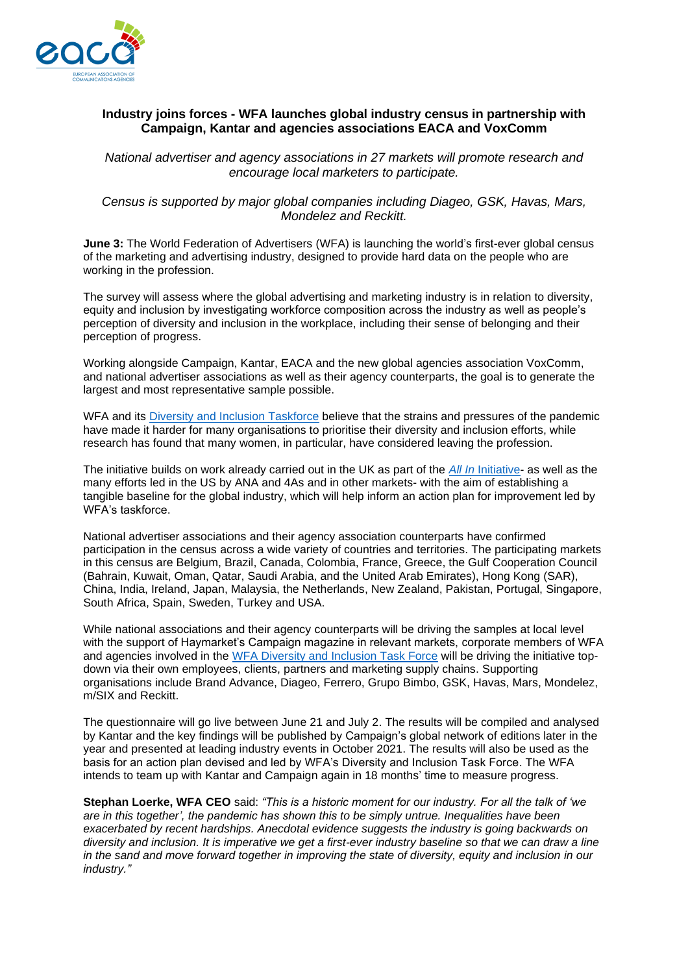

## **Industry joins forces - WFA launches global industry census in partnership with Campaign, Kantar and agencies associations EACA and VoxComm**

*National advertiser and agency associations in 27 markets will promote research and encourage local marketers to participate.* 

*Census is supported by major global companies including Diageo, GSK, Havas, Mars, Mondelez and Reckitt.*

**June 3:** The World Federation of Advertisers (WFA) is launching the world's first-ever global census of the marketing and advertising industry, designed to provide hard data on the people who are working in the profession.

The survey will assess where the global advertising and marketing industry is in relation to diversity, equity and inclusion by investigating workforce composition across the industry as well as people's perception of diversity and inclusion in the workplace, including their sense of belonging and their perception of progress.

Working alongside Campaign, Kantar, EACA and the new global agencies association VoxComm, and national advertiser associations as well as their agency counterparts, the goal is to generate the largest and most representative sample possible.

WFA and its [Diversity and Inclusion Taskforce](https://wfanet.org/knowledge/diversity-and-inclusion/di-taskforce) believe that the strains and pressures of the pandemic have made it harder for many organisations to prioritise their diversity and inclusion efforts, while research has found that many women, in particular, have considered leaving the profession.

The initiative builds on work already carried out in the UK as part of the *All In* [Initiative-](https://adassoc.org.uk/our-work/uk-advertising-industry-goes-all-in-today-for-census/) as well as the many efforts led in the US by ANA and 4As and in other markets- with the aim of establishing a tangible baseline for the global industry, which will help inform an action plan for improvement led by WFA's taskforce.

National advertiser associations and their agency association counterparts have confirmed participation in the census across a wide variety of countries and territories. The participating markets in this census are Belgium, Brazil, Canada, Colombia, France, Greece, the Gulf Cooperation Council (Bahrain, Kuwait, Oman, Qatar, Saudi Arabia, and the United Arab Emirates), Hong Kong (SAR), China, India, Ireland, Japan, Malaysia, the Netherlands, New Zealand, Pakistan, Portugal, Singapore, South Africa, Spain, Sweden, Turkey and USA.

While national associations and their agency counterparts will be driving the samples at local level with the support of Haymarket's Campaign magazine in relevant markets, corporate members of WFA and agencies involved in the [WFA Diversity and Inclusion Task Force](https://wfanet.org/knowledge/diversity-and-inclusion/di-taskforce) will be driving the initiative topdown via their own employees, clients, partners and marketing supply chains. Supporting organisations include Brand Advance, Diageo, Ferrero, Grupo Bimbo, GSK, Havas, Mars, Mondelez, m/SIX and Reckitt.

The questionnaire will go live between June 21 and July 2. The results will be compiled and analysed by Kantar and the key findings will be published by Campaign's global network of editions later in the year and presented at leading industry events in October 2021. The results will also be used as the basis for an action plan devised and led by WFA's Diversity and Inclusion Task Force. The WFA intends to team up with Kantar and Campaign again in 18 months' time to measure progress.

**Stephan Loerke, WFA CEO** said: *"This is a historic moment for our industry. For all the talk of 'we are in this together', the pandemic has shown this to be simply untrue. Inequalities have been exacerbated by recent hardships. Anecdotal evidence suggests the industry is going backwards on diversity and inclusion. It is imperative we get a first-ever industry baseline so that we can draw a line in the sand and move forward together in improving the state of diversity, equity and inclusion in our industry."*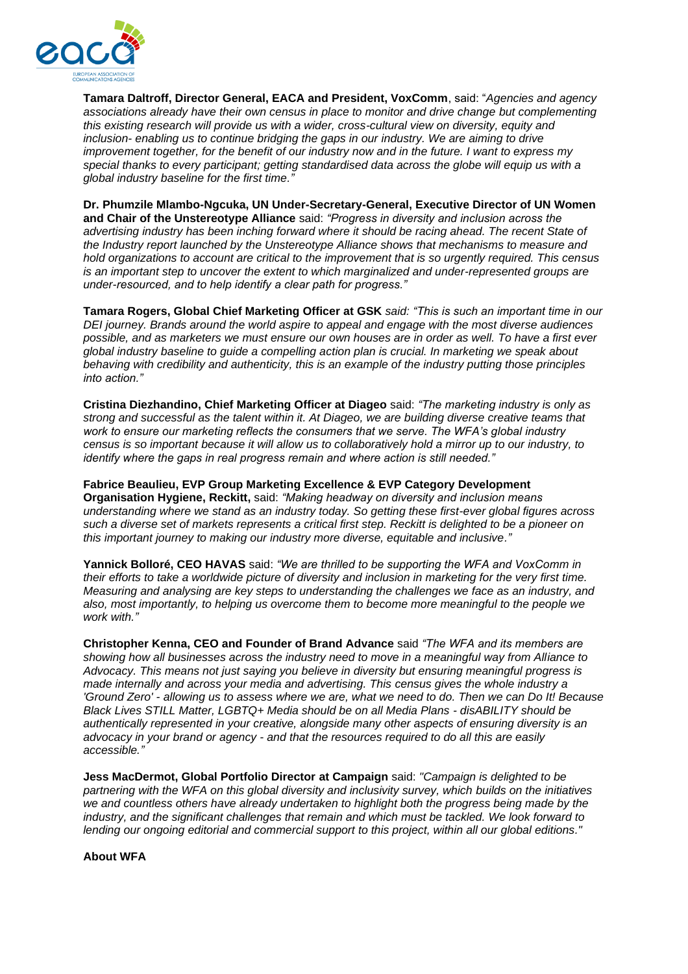

**Tamara Daltroff, Director General, EACA and President, VoxComm**, said: "*Agencies and agency associations already have their own census in place to monitor and drive change but complementing this existing research will provide us with a wider, cross-cultural view on diversity, equity and inclusion- enabling us to continue bridging the gaps in our industry. We are aiming to drive improvement together, for the benefit of our industry now and in the future. I want to express my special thanks to every participant; getting standardised data across the globe will equip us with a global industry baseline for the first time."*

**Dr. Phumzile Mlambo-Ngcuka, UN Under-Secretary-General, Executive Director of UN Women and Chair of the Unstereotype Alliance** said: *"Progress in diversity and inclusion across the advertising industry has been inching forward where it should be racing ahead. The recent State of the Industry report launched by the Unstereotype Alliance shows that mechanisms to measure and hold organizations to account are critical to the improvement that is so urgently required. This census is an important step to uncover the extent to which marginalized and under-represented groups are under-resourced, and to help identify a clear path for progress."*

**Tamara Rogers, Global Chief Marketing Officer at GSK** *said: "This is such an important time in our DEI journey. Brands around the world aspire to appeal and engage with the most diverse audiences possible, and as marketers we must ensure our own houses are in order as well. To have a first ever global industry baseline to guide a compelling action plan is crucial. In marketing we speak about behaving with credibility and authenticity, this is an example of the industry putting those principles into action."*

**Cristina Diezhandino, Chief Marketing Officer at Diageo** said: *"The marketing industry is only as strong and successful as the talent within it. At Diageo, we are building diverse creative teams that work to ensure our marketing reflects the consumers that we serve. The WFA's global industry census is so important because it will allow us to collaboratively hold a mirror up to our industry, to identify where the gaps in real progress remain and where action is still needed."*

**Fabrice Beaulieu, EVP Group Marketing Excellence & EVP Category Development Organisation Hygiene, Reckitt,** said: *"Making headway on diversity and inclusion means understanding where we stand as an industry today. So getting these first-ever global figures across such a diverse set of markets represents a critical first step. Reckitt is delighted to be a pioneer on this important journey to making our industry more diverse, equitable and inclusive."*

**Yannick Bolloré, CEO HAVAS** said: *"We are thrilled to be supporting the WFA and VoxComm in their efforts to take a worldwide picture of diversity and inclusion in marketing for the very first time. Measuring and analysing are key steps to understanding the challenges we face as an industry, and also, most importantly, to helping us overcome them to become more meaningful to the people we work with."*

**Christopher Kenna, CEO and Founder of Brand Advance** said *"The WFA and its members are showing how all businesses across the industry need to move in a meaningful way from Alliance to Advocacy. This means not just saying you believe in diversity but ensuring meaningful progress is made internally and across your media and advertising. This census gives the whole industry a 'Ground Zero' - allowing us to assess where we are, what we need to do. Then we can Do It! Because Black Lives STILL Matter, LGBTQ+ Media should be on all Media Plans - disABILITY should be authentically represented in your creative, alongside many other aspects of ensuring diversity is an advocacy in your brand or agency - and that the resources required to do all this are easily accessible."*

**Jess MacDermot, Global Portfolio Director at Campaign** said: *"Campaign is delighted to be partnering with the WFA on this global diversity and inclusivity survey, which builds on the initiatives we and countless others have already undertaken to highlight both the progress being made by the industry, and the significant challenges that remain and which must be tackled. We look forward to lending our ongoing editorial and commercial support to this project, within all our global editions."*

**About WFA**